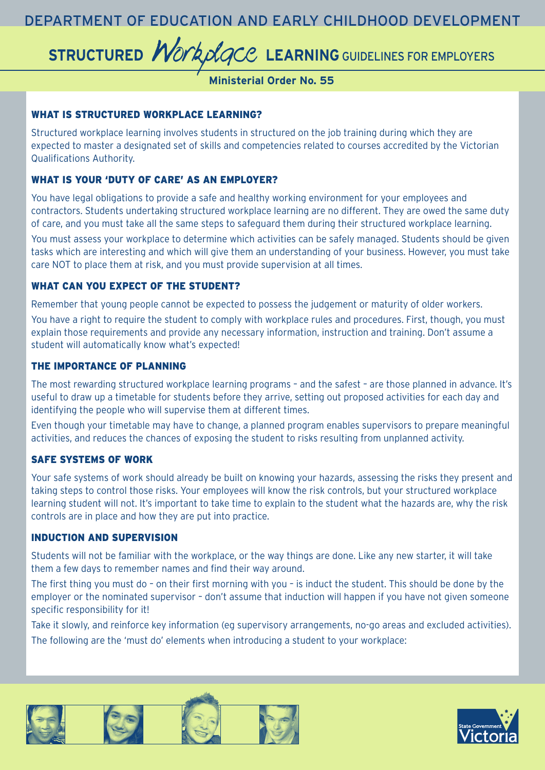# DEPARTMENT OF EDUCATION AND EARLY CHILDHOOD DEVELOPMENT

# **STRUCTURED** *Workdace* LEARNING GUIDELINES FOR EMPLOYERS

#### **Ministerial Order No. 55**

#### WHAT IS STRUCTURED WORKPLACE LEARNING?

Structured workplace learning involves students in structured on the job training during which they are expected to master a designated set of skills and competencies related to courses accredited by the Victorian Qualifications Authority.

# WHAT IS YOUR 'DUTY OF CARE' AS AN EMPLOYER?

You have legal obligations to provide a safe and healthy working environment for your employees and contractors. Students undertaking structured workplace learning are no different. They are owed the same duty of care, and you must take all the same steps to safeguard them during their structured workplace learning.

You must assess your workplace to determine which activities can be safely managed. Students should be given tasks which are interesting and which will give them an understanding of your business. However, you must take care NOT to place them at risk, and you must provide supervision at all times.

# WHAT CAN YOU EXPECT OF THE STUDENT?

Remember that young people cannot be expected to possess the judgement or maturity of older workers.

You have a right to require the student to comply with workplace rules and procedures. First, though, you must explain those requirements and provide any necessary information, instruction and training. Don't assume a student will automatically know what's expected!

#### THE IMPORTANCE OF PLANNING

The most rewarding structured workplace learning programs – and the safest – are those planned in advance. It's useful to draw up a timetable for students before they arrive, setting out proposed activities for each day and identifying the people who will supervise them at different times.

Even though your timetable may have to change, a planned program enables supervisors to prepare meaningful activities, and reduces the chances of exposing the student to risks resulting from unplanned activity.

#### SAFE SYSTEMS OF WORK

Your safe systems of work should already be built on knowing your hazards, assessing the risks they present and taking steps to control those risks. Your employees will know the risk controls, but your structured workplace learning student will not. It's important to take time to explain to the student what the hazards are, why the risk controls are in place and how they are put into practice.

#### INDUCTION AND SUPERVISION

Students will not be familiar with the workplace, or the way things are done. Like any new starter, it will take them a few days to remember names and find their way around.

The first thing you must do – on their first morning with you – is induct the student. This should be done by the employer or the nominated supervisor – don't assume that induction will happen if you have not given someone specific responsibility for it!

Take it slowly, and reinforce key information (eg supervisory arrangements, no-go areas and excluded activities). The following are the 'must do' elements when introducing a student to your workplace: